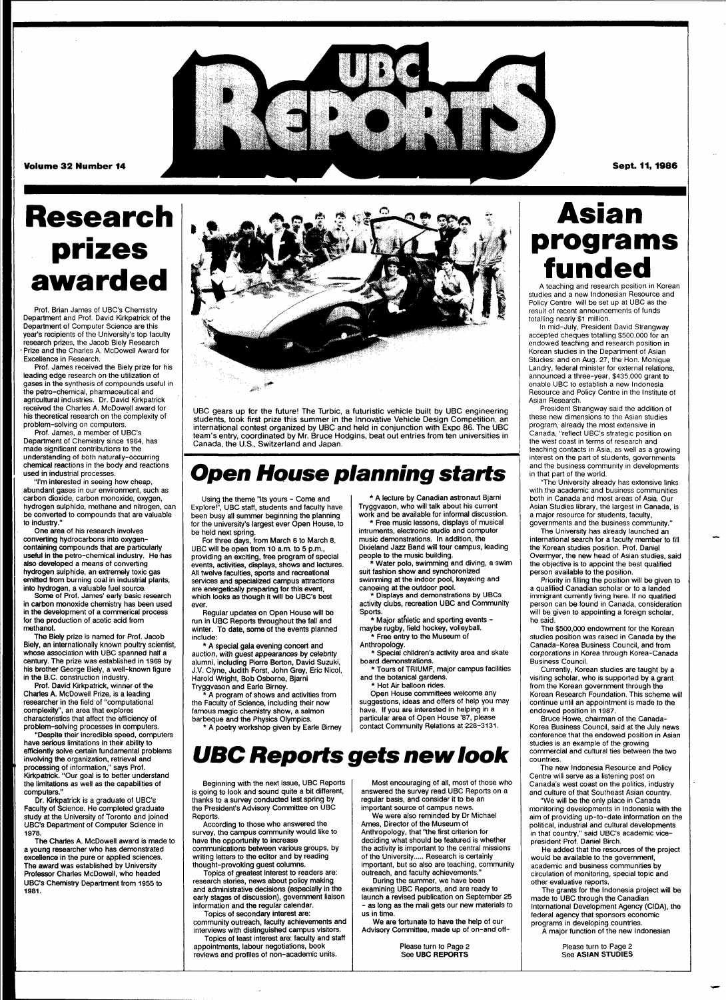

**Volume 32 Number 14** 

Sept. 11, 1986

# **Research prizes awarded**

Prof. Brian James of UBC's Chemistry Department and Prof. David Kirkpatrick of the Department of Computer Science are this year's recipients of the University's top faculty research prizes, the Jacob Biely Research • Prize and the Charles A. McDowell Award for Excellence in Research.

Prof. James received the Biely prize for his leading edge research on the utilization of gases in the synthesis of compounds useful in the petro-chemical, pharmaceutical and agricultural industries. Dr. David Kirkpatrick received the Charles A. McDowell award for his theoretical research on the complexity of problem-solving on computers.

Prof. James, a member of UBC's Department of Chemistry since 1964, has made significant contributions to the understanding of both naturally-occurring chemical reactions in the body and reactions used in industrial processes.

"I'm interested in seeing how cheap, abundant gases in our environment, such as carbon dioxide, carbon monoxide, oxygen, hydrogen sulphide, methane and nitrogen, can be converted to compounds that are valuable to industry."

One area of his research involves converting hydrocarbons into oxygencontaining compounds that are particularly useful in the petro-chemical industry. He has also developed a means of converting hydrogen sulphide, an extremely toxic gas emitted from burning coal in industrial plants, into hydrogen, a valuable fuel source.

Some of Prof. James' early basic research in carbon monoxide chemistry has been used in the development of a commerical process for the production of acetic acid from methanol.

The Biely prize is named for Prof. Jacob Biely, an internationally known poultry scientist, whose association with UBC spanned half a century. The prize was established in 1969 by his brother George Biely, a well-known figure in the B.C. construction industry.

Prof. David Kirkpatrick, winner of the Charles A. McDowell Prize, is a leading researcher in the field of "computational complexity", an area that explores characteristics that affect the efficiency of

problem-solving processes in computers. "Despite their incredible speed, computers have serious limitations in their ability to efficiently solve certain fundamental problems involving the organization, retrieval and processing of information," says Prof. Kirkpatrick. "Our goal is to better understand the limitations as well as the capabilities of computers."

Dr. Kirkpatrick is a graduate of UBC's Faculty of Science. He completed graduate the University of Toronto UBC's Department of Computer Science in 1978.

The Charles A. McDowell award is made to a young researcher who has demonstrated excellence in the pure or applied sciences. The award was established by University Professor Charles McDowell, who headed UBC's Chemistry Department from 1955 to **1981.** 



UBC gears up for the future! The Turbic, a futuristic vehicle built by UBC engineering students, took first prize this summer in the Innovative Vehicle Design Competition, an international contest organized by UBC and held in conjunction with Expo 86. The UBC team's entry, coordinated by Mr. Bruce Hodgins, beat out entries from ten universities in Canada, the U.S., Switzerland and Japan.

### **Open House planning starts**

Using the theme "Its yours - Come and Explore!", UBC staff, students and faculty have been busy all summer beginning the planning for the university's largest ever Open House, to be held next spring.

For three days, from March 6 to March 8, UBC will be open from 10 a.m. to 5 p.m., providing an exciting, free program of special events, activities, displays, shows and lectures. All twelve faculties, sports and recreational services and specialized campus attractions are energetically preparing for this event, which looks as though it will be UBC's best ever

Regular updates on Open House will be run in UBC Reports throughout the fall and winter. To date, some of the events planned include:

\* A special gala evening concert and auction, with guest appearances by celebrity alumni, including Pierre Berton, David Suzuki, J.V. Clyne, Judith Forst, John Grey, Eric Nicol, Harold Wright, Bob Osborne, Bjarni Tryggvason and Earle Birney.

\* A program of shows and activities from the Faculty of Science, including their now famous magic chemistry show, a salmon

barbeque and the Physics Olympics. \* A poetry workshop given by Earle Birney Tryggvason, who will talk about his current work and be available for informal discussion. \* Free music lessons, displays of musical intruments, electronic studio and computer music demonstrations. In addition, the

\* A lecture by Canadian astronaut Bjarni

Dixieland Jazz Band will tour campus, leading people to the music building.

\* Water polo, swimming and diving, a swim suit fashion show and synchoronized swimming at the indoor pool, kayaking and

canoeing at the outdoor pool. Displays and demonstrations by UBCs activity clubs, recreation UBC and Community Sports.

\* Major athletic and sporting events maybe rugby, field hockey, volleyball. \* Free entry to the Museum of

Anthropology. \* Special children's activity area and skate

board demonstrations. \* Tours of TRIUMF, major campus facilities

and the botanical gardens. Hot Air balloon rides.

Open House committees welcome any suggestions, ideas and offers of help you may have. If you are interested in helping in a particular area of Open House '87, please contact Community Relations at 228-3131.

### **UBC Reports gets new look**

Beginning with the next issue, UBC Reports is going to look and sound quite a bit different, thanks to a survey conducted last spring by the President's Advisory Committee on UBC Reports.

According to those who answered the survey, the campus community would like to have the opportunity to increase communications between various groups, by writing letters to the editor and by reading

thought-provoking guest columns. Topics of greatest interest to readers are: research stories, news about policy making and administrative decisions (especially in the

early stages of discussion), government liaison information and the regular calendar. Topics of secondary interest are: community outreach, faculty achievements and

interviews with distinguished campus visitors. Topics of least interest are: faculty and staff appointments, labour negotiations, book reviews and profiles of non-academic units.

Most encouraging of all, most of those who answered the survey read UBC Reports on a regular basis, and consider it to be an important source of campus news.

We were also reminded by Dr Michael Ames, Director of the Museum of Anthropology, that "the first criterion for deciding what should be featured is whether the activity is important to the central missions of the University..... Research is certainly important, but so also are teaching, community outreach, and faculty achievements.

During the summer, we have been examining UBC Reports, and are ready to launch a revised publication on September 25 as long as the mail gets our new materials to us in time.

We are fortunate to have the help of our Advisory Committee, made up of on-and off-

> Please turn to Page 2 See **UBC REPORTS**

## **Asian programs funded**

A teaching and research position in Korean studies and a new Indonesian Resource and Policy Centre will be set up at UBC as the result of recent announcements of funds totalling nearly \$1 million.

In mid-July, President David Strangway accepted cheques totalling \$500,000 for an endowed teaching and research position in Korean studies in the Department of Asian Studies: and on Aug. 27, the Hon. Monique Landry, federal minister for external relations, announced a three-year, \$435,000 grant to enable UBC to establish a new Indonesia Resource and Policy Centre in the Institute of Asian Research.

President Strangway said the addition of these new dimensions to the Asian studies program, already the most extensive in Canada, "reflect UBC's strategic position on the west coast in terms of research and teaching contacts in Asia, as well as a growing interest on the part of students, governments and the business community in developments in that part of the world.

"The University already has extensive links with the academic and business communities both in Canada and most areas of Asia. Our Asian Studies library, the largest in Canada, is a major resource for students, faculty, governments and the business community."

The University has already launched an international search for a faculty member to fill the Korean studies position. Prof. Daniel Overmyer, the new head of Asian studies, said the objective is to appoint the best qualified person available to the position.

Priority in filling the position will be given to a qualified Canadian scholar or to a landed immigrant currently living here. If no qualified person can be found in Canada, consideration will be given to appointing a foreign scholar, he said.

The \$500,000 endowment for the Korean studies position was raised in Canada by the Canada-Korea Business Council, and from corporations in Korea through Korea-Canada Business Council.

Currently, Korean studies are taught by a visiting scholar, who is supported by a grant from the Korean government through the Korean Research Foundation. This scheme will continue until an appointment is made to the endowed position in 1987.

Bruce Howe, chairman of the Canada-Korea Business Council, said at the July news conference that the endowed position in Asian studies is an example of the growing commercial and cultural ties between the two countries.

The new Indonesia Resource and Policy Centre will serve as a listening post on Canada's west coast on the politics, industry and culture of that Southeast Asian country.

"We will be the only place in Canada monitoring developments in Indonesia with the iding up-to-date informatio political, industrial and cultural developments in that country," said UBC's academic vicepresident Prof. Daniel Birch.

He added that the resources of the project would be available to the government, academic and business communities by circulation of monitoring, special topic and other evaluative reports.

The grants for the Indonesia project will be made to UBC through the Canadian International Development Agency (CIDA), the federal agency that sponsors economic programs in developing countries.

A major function of the new Indonesian

Please turn to Page 2 See **ASIAN** STUDIES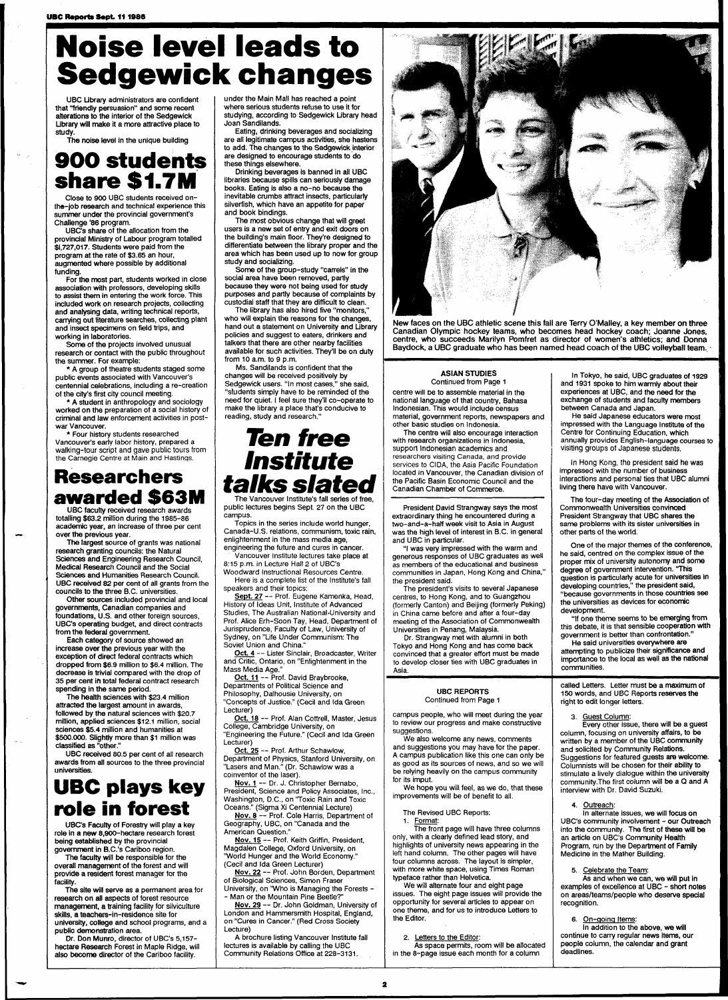# **Noise level leads to Sedgewick changes**

UBC Library administrators are confident that "friendly persuasion" and some recent alterations to the interior of the Sedgewick Ubrary will make it a more attractive place to study.

The noise level in the unique building

### **9 0 0 students share \$1.7M**

Close to 900 UBC students received onthe-job research and technical experience this summer under the provincial government's Challenge '86 program.

UBC's share of the allocation from the provincial Ministry of Labour program totalled \$1,727,017. Students were paid from the program at the rate of \$3.65 an hour, augmented where possible by additional funding.

For the most part, students worked in close association with professors, developing skills to assist them in entering the work force. This included work on research projects, collecting and analysing data, writing technical reports, carrying out literature searches, collecting plant and insect specimens on field trips, and working in laboratories.

Some of the projects involved unusual research or contact with the public throughout the summer. For example:

\* A group of theatre students staged some public events associated with Vancouver's centennial celebrations, including a re-creation of the city's first city council meeting.

\* A student in anthropology and sociology worked on the preparation of a social history of criminal and law enforcement activities in postwar Vancouver.

\* Four history students researched Vancouver's early labor history, prepared a walking-tour script and gave public tours from the Carnegie Centre at Main and Hastings.

### **Researchers awarded \$63M**

UBC faculty received research awards totalling \$63.2 million during the 1985-86 academic year, an increase of three per cent over the previous year.

The largest source of grants was national research granting councils: the Natural Sciences and Engineering Research Council, Medical Research Council and the Social Sciences and Humanities Research Council. UBC received 82 per cent of all grants from the councils to the three B.C. universities.

Other sources included provincial and local governments, Canadian companies and foundations, U.S. and other foreign sources, UBC's operating budget, and direct contracts from the federal government.

Each category of source showed an increase over the previous year with the exception of direct federal contracts which dropped from \$6.9 million to \$6.4 million. The decrease is trivial compared with the drop of 35 per cent in total federal contract research spending in the same period.

The health sciences with \$23.4 million attracted the largest amount in awards, followed by the natural sciences with \$20.7 million, applied sciences \$12.1 million, social sciences \$5.4 million and humanities at \$500,000. Slightly more than \$1 million was classified as "other."

UBC received 80.5 per cent of all research awards from all sources to the three provincial universities.

### **UBC plays key role in forest**

UBC's Faculty of Forestry will play a key role in a new 8,900-hectare research forest being established by the provincial government in B.C.'s Cariboo region.

The faculty will be responsible for the overall management of the forest and will provide a resident forest manager for the facility.

The site will serve as a permanent area for research on all aspects of forest resource management, a training facility for silviculture skills, a teachers-in-residence site for university, college and school programs, and a public demonstration area.

Dr. Don Munro, director of UBC's 5,157 hectare Research Forest in Maple Ridge, will also become director of the Cariboo facility.

under the Main Mall has reached a point where serious students refuse to use it for studying, according to Sedgewick Library head Joan Sandilands.

Eating, drinking beverages and socializing are all legitimate campus activities, she hastens to add. The changes to the Sedgewick interior are designed to encourage students to do these things elsewhere.

Drinking beverages is banned in all UBC libraries because spills can seriously damage books. Eating is also a no-no because the inevitable crumbs attract insects, particularly silverfish, which have an appetite for paper and book bindings.

The most obvious change that will greet users is a new set of entry and exit doors on the building's main floor. They're designed to differentiate between the library proper and the area which has been used up to now for group study and socializing.

Some of the group-study "carrels" in the social area have been removed, partly because they were not being used for study

purposes and partly because of complaints by custodial staff that they are difficult to clean. The library has also hired five "monitors,"

who will explain the reasons for the changes, hand out a statement on University and Library policies and suggest to eaters, drinkers and talkers that there are other nearby facilities available for such activities. They'll be on duty

from 10 a.m. to 9 p.m. Ms. Sandilands is confident that the

changes will be received positively by Sedgewick users. "In most cases," she said, "students simply have to be reminded of the need for quiet. I feel sure they'll co-operate to make the library a place that's conducive to reading, study and research."

### **Ten free Institute talks slated**  The Vancouver Institute's fall series of free,

public lectures begins Sept. 27 on the UBC campus.

Topics in the series include world hunger, Canada-U.S. relations, communism, toxic rain, enlightenment in the mass media age, engineering the future and cures in cancer.

Vancouver Institute lectures take place at 8:15 p.m. in Lecture Hall 2 of UBC's

Woodward Instructional Resources Centre. Here is a complete list of the Institute's fall speakers and their topics:

Sept. 27 -- Prof. Eugene Kamenka, Head, History of Ideas Unit, Institute of Advanced Studies, The Australian National-University and Prof, Alice Erh-Soon Tay, Head, Department of Jurisprudence, Faculty of Law, University of Sydney, on "Life Under Communism: The

Soviet Union and China." Oct. 4 -- Lister Sinclair, Broadcaster, Writer and Critic, Ontario, on "Enlightenment in the Mass Media Age."

Oct. 11 -- Prof. David Braybrooke, Departments of Political Science and Philosophy, Dalhousie University, on "Concepts of Justice." (Cecil and Ida Green Lecturer)

Oct. 18 -- Prof. Alan Cottrell, Master, Jesus College, Cambridge University, on "Engineering the Future." (Cecil and Ida Green

Lecturer) Oct. 25 -- Prof. Arthur Schawlow. Department of Physics, Stanford University, on "Lasers and Man." (Dr. Schawlow was a

coinventor of the laser). Nov. 1 -- Dr. J. Christopher Bernabo. President, Science and Policy Associates, Inc.,

Washington, D.C., on 'Toxic Rain and Toxic Oceans." (Sigma Xi Centennial Lecture) Nov. 8 — Prof. Cole Harris, Department of Geography, UBC, on "Canada and the

American Question." Nov. 15 — Prof. Keith Griffin, President, Magdalen College, Oxford University, on "World Hunger and the World Economy." (Cecil and Ida Green Lecturer)

Nov. 22 — Prof. John Borden, Department of Biological Sciences, Simon Fraser University, on "Who is Managing the Forests -

- Man or the Mountain Pine Beetle?" Nov. 29 — Dr. John Goldman, University of London and Hammersmith Hospital, England, on "Cures in Cancer." (Red Cross Society Lecture)

A brochure listing Vancouver Institute fall lectures is available by calling the UBC Community Relations Office at 228-3131.



New faces on the UBC athletic scene this fall are Terry O'Malley, a key member on three Canadian Olympic hockey teams, who becomes head hockey coach; Joanne Jones, centre, who succeeds Marilyn Pomfret as director of women's athletics; and Donna Baydock, a UBC graduate who has been named head coach of the UBC volleyball team.

#### ASIAN STUDIES

Continued from Page 1 centre will be to assemble material in the national language of that country, Bahasa Indonesian. This would include census material, government reports, newspapers and other basic studies on Indonesia.

The centre will also encourage interaction with research organizations in Indonesia, support Indonesian academics and researchers visiting Canada, and provide services to CIDA, the Asia Pacific Foundation located in Vancouver, the Canadian division of the Pacific Basin Economic Council and the Canadian Chamber of Commerce.

President David Strangway says the most extraordinary thing he encountered during a two-and-a-half week visit to Asia in August was the high level of interest in B.C. in general and UBC in particular.

"I was very impressed with the warm and generous responses of UBC graduates as well as members of the educational and business communities in Japan, Hong Kong and China," the president said.

The president's visits to several Japanese centres, to Hong Kong, and to Guangzhou (formerly Canton) and Beijing (formerly Peking) in China came before and after a four-day meeting of the Association of Commonwealth Universities in Penang, Malaysia.

Dr. Strangway met with alumni in both Tokyo and Hong Kong and has come back convinced that a greater effort must be made to develop closer ties with UBC graduates in Asia.

#### UBC REPORTS Continued from Page 1

campus people, who will meet during the year to review our progress and make constructive suggestions.

We also welcome any news, comments and suggestions you may have for the paper. A campus publication like this one can only be as good as its sources of news, and so we will be relying heavily on the campus community for its imput.

We hope you will feel, as we do, that these improvements will be of benefit to all.

The Revised UBC Reports:

1. Format: The front page will have three columns only, with a clearly defined lead story, and highlights of university news appearing in the left hand column. The other pages will have four columns across. The layout is simpler, with more white space, using Times Roman typeface rather than Helvetica.

We will alternate four and eight page issues. The eight page issues will provide the opportunity for several articles to appear on one theme, and for us to introduce Letters to the Editor.

#### 2. Letters to the Editor:

As space permits, room will be allocated in the 8-page issue each month for a column

In Tokyo, he said, UBC graduates of 1929 and 1931 spoke to him warmly about their experiences at UBC, and the need for the exchange of students and faculty members between Canada and Japan.

He said Japanese educators were most impressed with the Language Institute of the Centre for Continuing Education, which annually provides English-language courses to visiting groups of Japanese students.

In Hong Kong, the president said he was impressed with the number of business interactions and personal ties that UBC alumni living there have with Vancouver.

The four-day meeting of the Association of Commonwealth Universities convinced President Strangway that UBC shares the same problems with its sister universities in other parts of the world.

One of the major themes of the conference, he said, centred on the complex issue of the proper mix of university autonomy and some degree of government intervention. 'This question is particularly acute for universities in developing countries," the president said, "because governments in those countries see the universities as devices for economic development.

"If one theme seems to be emerging from this debate, it is that sensible cooperation with government is better than confrontation."

He said universities everywhere are attempting to publicize their significance and importance to the local as well as the national communities.

called Letters. Letter must be a maximum of 150 words, and UBC Reports reserves the right to edit longer letters.

#### **Guest Column:**

Every other issue, there will be a guest column, focusing on university affairs, to be written by a member of the UBC community and solicited by Community Relations. Suggestions for featured guests are welcome. Columnists will be chosen for their ability to stimulate a lively dialogue within the university community.The first column will be a Q and A interview with Dr. David Suzuki.

4. Outreach:

**In alternate issues, we will focus on** UBC's community involvement - our Outreach into the community. The first of these will be an article on UBC's Community Health Program, run by the Department of Family Medicine in the Mather Building.

#### 5. Celebrate the Team:

As and when we can, we will put in examples of excellence at UBC - short notes on areas/teams/people who deserve special recognition.

#### 6. On-going Items:

In addition to the above, we will continue to cany regular news items, our people column, the calendar and grant deadlines.

 $\overline{\mathbf{2}}$